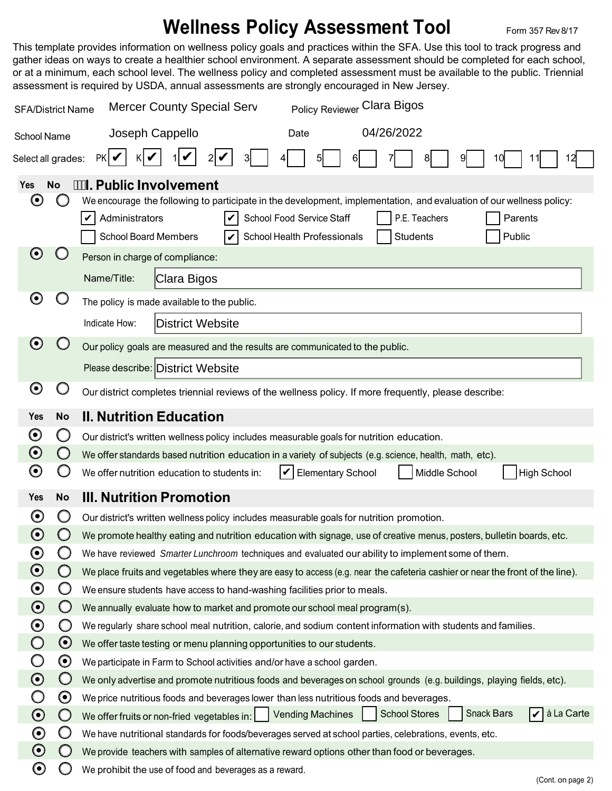## **Wellness Policy Assessment Tool Form 357 Rev 8/17**

This template provides information on wellness policy goals and practices within the SFA. Use this tool to track progress and gather ideas on ways to create a healthier school environment. A separate assessment should be completed for each school, or at a minimum, each school level. The wellness policy and completed assessment must be available to the public. Triennial assessment is required by USDA, annual assessments are strongly encouraged in New Jersey.

| Policy Reviewer Clara Bigos<br><b>Mercer County Special Serv</b><br><b>SFA/District Name</b> |                                                                                                                                                                                                                                                                                                                                  |                                                                                                                                                                                                                  |  |  |  |  |  |
|----------------------------------------------------------------------------------------------|----------------------------------------------------------------------------------------------------------------------------------------------------------------------------------------------------------------------------------------------------------------------------------------------------------------------------------|------------------------------------------------------------------------------------------------------------------------------------------------------------------------------------------------------------------|--|--|--|--|--|
| School Name                                                                                  |                                                                                                                                                                                                                                                                                                                                  | 04/26/2022<br>Joseph Cappello<br>Date                                                                                                                                                                            |  |  |  |  |  |
| Select all grades:                                                                           |                                                                                                                                                                                                                                                                                                                                  | PKI✔<br>3l<br>12<br>6<br>9<br>10                                                                                                                                                                                 |  |  |  |  |  |
| Yes<br>$\boldsymbol{\Theta}$                                                                 | <b>I. Public Involvement</b><br><b>No</b><br>We encourage the following to participate in the development, implementation, and evaluation of our wellness policy:<br>Administrators<br>School Food Service Staff<br>P.E. Teachers<br>Parents<br>School Board Members<br>School Health Professionals<br>Public<br><b>Students</b> |                                                                                                                                                                                                                  |  |  |  |  |  |
| $\boldsymbol{\Theta}$                                                                        |                                                                                                                                                                                                                                                                                                                                  | Person in charge of compliance:                                                                                                                                                                                  |  |  |  |  |  |
|                                                                                              |                                                                                                                                                                                                                                                                                                                                  | Name/Title:<br>Clara Bigos                                                                                                                                                                                       |  |  |  |  |  |
| O<br>The policy is made available to the public.                                             |                                                                                                                                                                                                                                                                                                                                  |                                                                                                                                                                                                                  |  |  |  |  |  |
|                                                                                              |                                                                                                                                                                                                                                                                                                                                  | District Website<br>Indicate How:                                                                                                                                                                                |  |  |  |  |  |
| $\boldsymbol{\Theta}$                                                                        |                                                                                                                                                                                                                                                                                                                                  | Our policy goals are measured and the results are communicated to the public.                                                                                                                                    |  |  |  |  |  |
|                                                                                              |                                                                                                                                                                                                                                                                                                                                  | Please describe: District Website                                                                                                                                                                                |  |  |  |  |  |
| $\boldsymbol{\Theta}$                                                                        | O                                                                                                                                                                                                                                                                                                                                | Our district completes triennial reviews of the wellness policy. If more frequently, please describe:                                                                                                            |  |  |  |  |  |
| Yes                                                                                          | <b>No</b>                                                                                                                                                                                                                                                                                                                        | <b>II. Nutrition Education</b>                                                                                                                                                                                   |  |  |  |  |  |
| $\boldsymbol{\odot}$                                                                         | Ő                                                                                                                                                                                                                                                                                                                                | Our district's written wellness policy includes measurable goals for nutrition education.                                                                                                                        |  |  |  |  |  |
| $\boldsymbol{\odot}$                                                                         | $\bigcirc$                                                                                                                                                                                                                                                                                                                       | We offer standards based nutrition education in a variety of subjects (e.g. science, health, math, etc).                                                                                                         |  |  |  |  |  |
| $\boldsymbol{\Theta}$                                                                        | O                                                                                                                                                                                                                                                                                                                                | Middle School<br>We offer nutrition education to students in:<br>V<br><b>Elementary School</b><br><b>High School</b>                                                                                             |  |  |  |  |  |
| <b>Yes</b>                                                                                   | <b>No</b>                                                                                                                                                                                                                                                                                                                        | <b>III. Nutrition Promotion</b>                                                                                                                                                                                  |  |  |  |  |  |
| $\boldsymbol{\Theta}$                                                                        | O                                                                                                                                                                                                                                                                                                                                | Our district's written wellness policy includes measurable goals for nutrition promotion.                                                                                                                        |  |  |  |  |  |
| $\boldsymbol{\Theta}$                                                                        |                                                                                                                                                                                                                                                                                                                                  | We promote healthy eating and nutrition education with signage, use of creative menus, posters, bulletin boards, etc.                                                                                            |  |  |  |  |  |
| $\boldsymbol{\Theta}$                                                                        | Ő                                                                                                                                                                                                                                                                                                                                | We have reviewed Smarter Lunchroom techniques and evaluated our ability to implement some of them.                                                                                                               |  |  |  |  |  |
| $\boldsymbol{\Theta}$                                                                        | $\bigcirc$                                                                                                                                                                                                                                                                                                                       | We place fruits and vegetables where they are easy to access (e.g. near the cafeteria cashier or near the front of the line).                                                                                    |  |  |  |  |  |
| $\boldsymbol{\Theta}$                                                                        | $\bigcirc$                                                                                                                                                                                                                                                                                                                       | We ensure students have access to hand-washing facilities prior to meals.                                                                                                                                        |  |  |  |  |  |
| $\boldsymbol{\odot}$                                                                         | $\bigcirc$                                                                                                                                                                                                                                                                                                                       | We annually evaluate how to market and promote our school meal program(s).                                                                                                                                       |  |  |  |  |  |
| $\boldsymbol{\odot}$                                                                         | O                                                                                                                                                                                                                                                                                                                                | We regularly share school meal nutrition, calorie, and sodium content information with students and families.                                                                                                    |  |  |  |  |  |
| $\bigcirc$                                                                                   | $\odot$                                                                                                                                                                                                                                                                                                                          | We offer taste testing or menu planning opportunities to our students.                                                                                                                                           |  |  |  |  |  |
| O<br>$\boldsymbol{\odot}$                                                                    | $\boldsymbol{\odot}$<br>$\bigcirc$                                                                                                                                                                                                                                                                                               | We participate in Farm to School activities and/or have a school garden.                                                                                                                                         |  |  |  |  |  |
|                                                                                              | $\boldsymbol{\Theta}$                                                                                                                                                                                                                                                                                                            | We only advertise and promote nutritious foods and beverages on school grounds (e.g. buildings, playing fields, etc).<br>We price nutritious foods and beverages lower than less nutritious foods and beverages. |  |  |  |  |  |
| $\odot$                                                                                      | $\bigcirc$                                                                                                                                                                                                                                                                                                                       | à La Carte<br><b>Snack Bars</b><br><b>School Stores</b><br><b>Vending Machines</b><br>IV<br>We offer fruits or non-fried vegetables in: $\vert \vert$                                                            |  |  |  |  |  |
| $\boldsymbol{\Theta}$                                                                        | $\bigcirc$                                                                                                                                                                                                                                                                                                                       | We have nutritional standards for foods/beverages served at school parties, celebrations, events, etc.                                                                                                           |  |  |  |  |  |
| $\odot$                                                                                      | $\bigcirc$                                                                                                                                                                                                                                                                                                                       | We provide teachers with samples of alternative reward options other than food or beverages.                                                                                                                     |  |  |  |  |  |
| $\boldsymbol{\Theta}$                                                                        | Ő                                                                                                                                                                                                                                                                                                                                | We prohibit the use of food and beverages as a reward.<br>(Cont. on page 2)                                                                                                                                      |  |  |  |  |  |